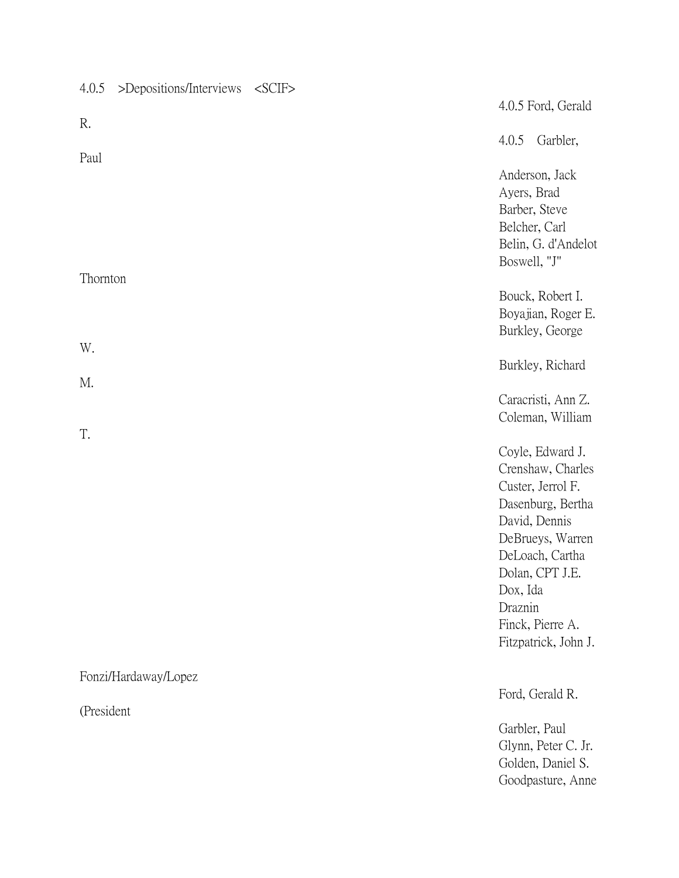| 4.0.5      | >Depositions/Interviews | $<$ SCIF $>$ |                             |                                                                                                                                                                                                        |
|------------|-------------------------|--------------|-----------------------------|--------------------------------------------------------------------------------------------------------------------------------------------------------------------------------------------------------|
|            |                         |              |                             | 4.0.5 Ford, Gerald                                                                                                                                                                                     |
| R.         |                         |              | 4.0.5                       | Garbler,                                                                                                                                                                                               |
| Paul       |                         |              | Ayers, Brad<br>Boswell, "J" | Anderson, Jack<br>Barber, Steve<br>Belcher, Carl<br>Belin, G. d'Andelot                                                                                                                                |
| Thornton   |                         |              |                             | Bouck, Robert I.<br>Boyajian, Roger E.<br>Burkley, George                                                                                                                                              |
| W.         |                         |              |                             | Burkley, Richard                                                                                                                                                                                       |
| M.         |                         |              |                             | Caracristi, Ann Z.<br>Coleman, William                                                                                                                                                                 |
| T.         |                         |              | Dox, Ida<br>Draznin         | Coyle, Edward J.<br>Crenshaw, Charles<br>Custer, Jerrol F.<br>Dasenburg, Bertha<br>David, Dennis<br>DeBrueys, Warren<br>DeLoach, Cartha<br>Dolan, CPT J.E.<br>Finck, Pierre A.<br>Fitzpatrick, John J. |
|            | Fonzi/Hardaway/Lopez    |              |                             |                                                                                                                                                                                                        |
| (President |                         |              |                             | Ford, Gerald R.                                                                                                                                                                                        |
|            |                         |              |                             | Garbler, Paul<br>Glynn, Peter C. Jr.<br>Golden, Daniel S.<br>Goodpasture, Anne                                                                                                                         |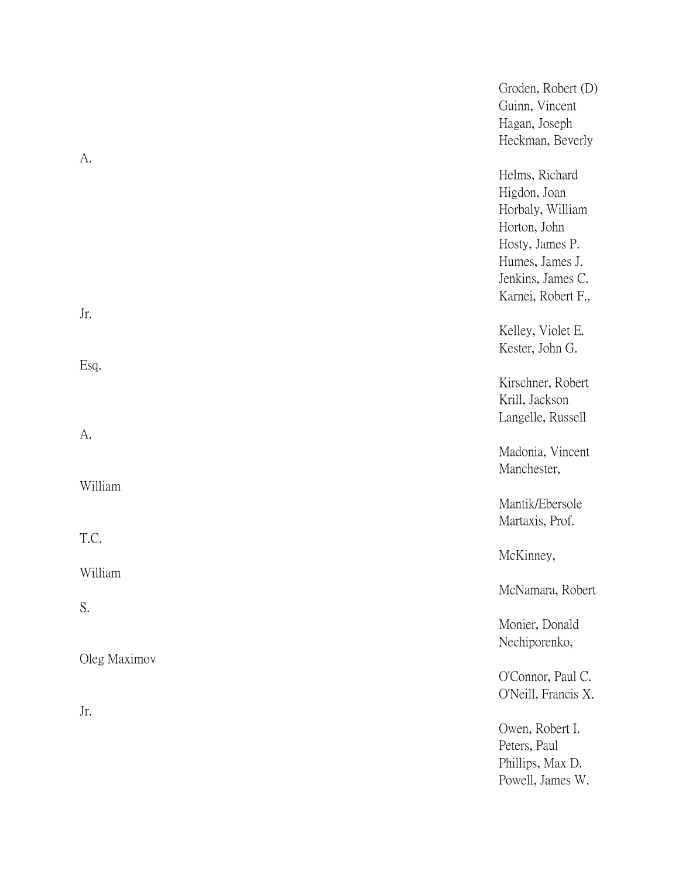|              | Groden, Robert (D)<br>Guinn, Vincent<br>Hagan, Joseph<br>Heckman, Beverly                                                                           |
|--------------|-----------------------------------------------------------------------------------------------------------------------------------------------------|
| А.           | Helms, Richard<br>Higdon, Joan<br>Horbaly, William<br>Horton, John<br>Hosty, James P.<br>Humes, James J.<br>Jenkins, James C.<br>Karnei, Robert F., |
| Jr.          | Kelley, Violet E.<br>Kester, John G.                                                                                                                |
| Esq.         | Kirschner, Robert<br>Krill, Jackson<br>Langelle, Russell                                                                                            |
| A.           | Madonia, Vincent<br>Manchester,                                                                                                                     |
| William      | Mantik/Ebersole<br>Martaxis, Prof.                                                                                                                  |
| T.C.         | McKinney,                                                                                                                                           |
| William      | McNamara, Robert                                                                                                                                    |
| S.           | Monier, Donald<br>Nechiporenko,                                                                                                                     |
| Oleg Maximov | O'Connor, Paul C.<br>O'Neill, Francis X.                                                                                                            |
| Jr.          | Owen, Robert I.<br>Peters, Paul<br>Phillips, Max D.<br>Powell, James W.                                                                             |